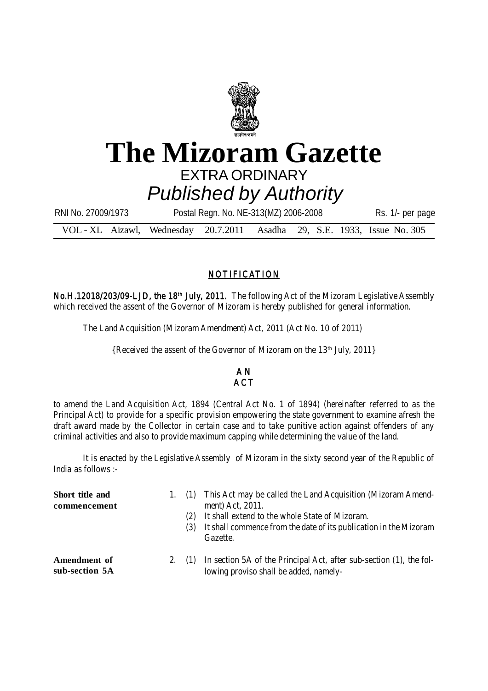

## **The Mizoram Gazette** EXTRA ORDINARY *Published by Authority*

| RNI No. 27009/1973                                                       | Postal Regn. No. NE-313(MZ) 2006-2008 |  |  | Rs. 1/- per page |
|--------------------------------------------------------------------------|---------------------------------------|--|--|------------------|
| VOL - XL Aizawl, Wednesday 20.7.2011 Asadha 29, S.E. 1933, Issue No. 305 |                                       |  |  |                  |

## NOTIFICATION

No.H.12018/203/09-LJD, the 18<sup>th</sup> July, 2011. The following Act of the Mizoram Legislative Assembly which received the assent of the Governor of Mizoram is hereby published for general information.

The Land Acquisition (Mizoram Amendment) Act, 2011 (Act No. 10 of 2011)

{Received the assent of the Governor of Mizoram on the 13<sup>th</sup> July, 2011}

## A N **ACT**

to amend the Land Acquisition Act, 1894 (Central Act No. 1 of 1894) (hereinafter referred to as the Principal Act) to provide for a specific provision empowering the state government to examine afresh the draft award made by the Collector in certain case and to take punitive action against offenders of any criminal activities and also to provide maximum capping while determining the value of the land.

It is enacted by the Legislative Assembly of Mizoram in the sixty second year of the Republic of India as follows :-

| Short title and<br>commencement |        | (2)<br>(3) | 1. (1) This Act may be called the Land Acquisition (Mizoram Amend-<br>ment) Act, 2011.<br>It shall extend to the whole State of Mizoram.<br>It shall commence from the date of its publication in the Mizoram<br>Gazette. |
|---------------------------------|--------|------------|---------------------------------------------------------------------------------------------------------------------------------------------------------------------------------------------------------------------------|
| Amendment of<br>sub-section 5A  | 2. (1) |            | In section 5A of the Principal Act, after sub-section (1), the fol-<br>lowing proviso shall be added, namely-                                                                                                             |